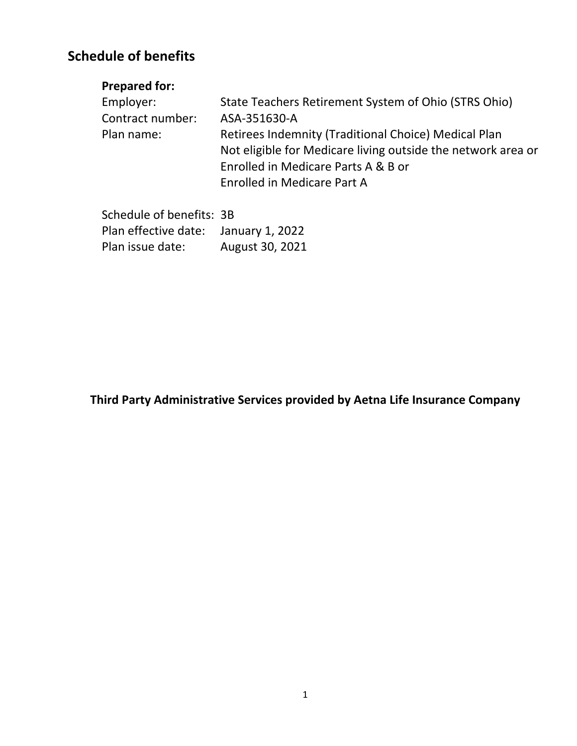# **Schedule of benefits**

# **Prepared for:**

| Employer:        | State Teachers Retirement System of Ohio (STRS Ohio)         |
|------------------|--------------------------------------------------------------|
| Contract number: | ASA-351630-A                                                 |
| Plan name:       | Retirees Indemnity (Traditional Choice) Medical Plan         |
|                  | Not eligible for Medicare living outside the network area or |
|                  | Enrolled in Medicare Parts A & B or                          |
|                  | Enrolled in Medicare Part A                                  |
|                  |                                                              |

| Schedule of benefits: 3B             |                 |
|--------------------------------------|-----------------|
| Plan effective date: January 1, 2022 |                 |
| Plan issue date:                     | August 30, 2021 |

**Third Party Administrative Services provided by Aetna Life Insurance Company**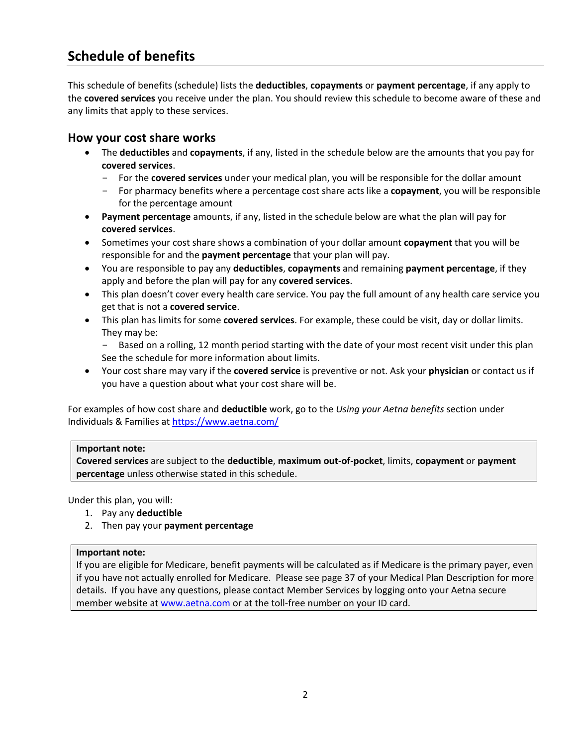## **Schedule of benefits**

This schedule of benefits (schedule) lists the **deductibles**, **copayments** or **payment percentage**, if any apply to the **covered services** you receive under the plan. You should review this schedule to become aware of these and any limits that apply to these services.

## **How your cost share works**

- The **deductibles** and **copayments**, if any, listed in the schedule below are the amounts that you pay for **covered services**.
	- For the **covered services** under your medical plan, you will be responsible for the dollar amount
	- For pharmacy benefits where a percentage cost share acts like a **copayment**, you will be responsible for the percentage amount
- **Payment percentage** amounts, if any, listed in the schedule below are what the plan will pay for **covered services**.
- Sometimes your cost share shows a combination of your dollar amount **copayment** that you will be responsible for and the **payment percentage** that your plan will pay.
- You are responsible to pay any **deductibles**, **copayments** and remaining **payment percentage**, if they apply and before the plan will pay for any **covered services**.
- This plan doesn't cover every health care service. You pay the full amount of any health care service you get that is not a **covered service**.
- This plan has limits for some **covered services**. For example, these could be visit, day or dollar limits. They may be:

- Based on a rolling, 12 month period starting with the date of your most recent visit under this plan See the schedule for more information about limits.

 Your cost share may vary if the **covered service** is preventive or not. Ask your **physician** or contact us if you have a question about what your cost share will be.

For examples of how cost share and **deductible** work, go to the *Using your Aetna benefits* section under Individuals & Families at <https://www.aetna.com/>

#### **Important note:**

**Covered services** are subject to the **deductible**, **maximum out-of-pocket**, limits, **copayment** or **payment percentage** unless otherwise stated in this schedule.

Under this plan, you will:

- 1. Pay any **deductible**
- 2. Then pay your **payment percentage**

#### **Important note:**

If you are eligible for Medicare, benefit payments will be calculated as if Medicare is the primary payer, even if you have not actually enrolled for Medicare. Please see page 37 of your Medical Plan Description for more details. If you have any questions, please contact Member Services by logging onto your Aetna secure member website at [www.aetna.com](http://www.aetna.com/) or at the toll-free number on your ID card.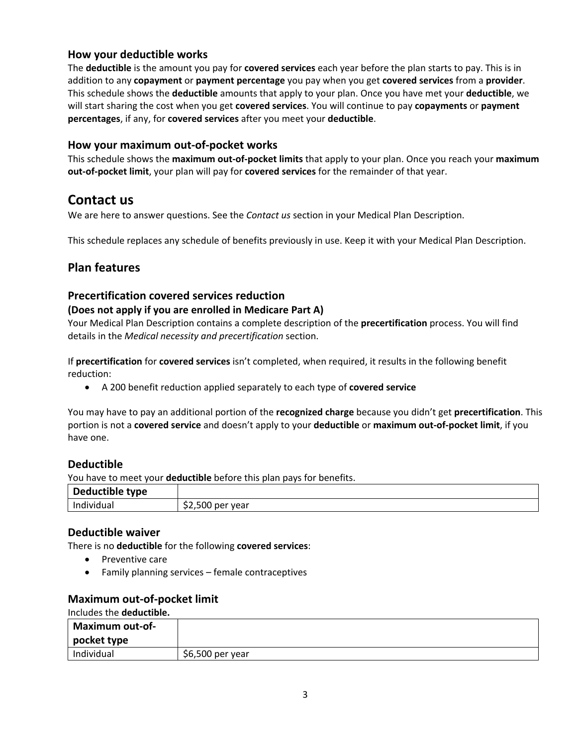## **How your deductible works**

The **deductible** is the amount you pay for **covered services** each year before the plan starts to pay. This is in addition to any **copayment** or **payment percentage** you pay when you get **covered services** from a **provider**. This schedule shows the **deductible** amounts that apply to your plan. Once you have met your **deductible**, we will start sharing the cost when you get **covered services**. You will continue to pay **copayments** or **payment percentages**, if any, for **covered services** after you meet your **deductible**.

## **How your maximum out-of-pocket works**

This schedule shows the **maximum out-of-pocket limits** that apply to your plan. Once you reach your **maximum out-of-pocket limit**, your plan will pay for **covered services** for the remainder of that year.

## **Contact us**

We are here to answer questions. See the *Contact us* section in your Medical Plan Description.

This schedule replaces any schedule of benefits previously in use. Keep it with your Medical Plan Description.

## **Plan features**

## **Precertification covered services reduction**

#### **(Does not apply if you are enrolled in Medicare Part A)**

Your Medical Plan Description contains a complete description of the **precertification** process. You will find details in the *Medical necessity and precertification* section.

If **precertification** for **covered services** isn't completed, when required, it results in the following benefit reduction:

A 200 benefit reduction applied separately to each type of **covered service**

You may have to pay an additional portion of the **recognized charge** because you didn't get **precertification**. This portion is not a **covered service** and doesn't apply to your **deductible** or **maximum out-of-pocket limit**, if you have one.

#### **Deductible**

You have to meet your **deductible** before this plan pays for benefits.

| Deductible type |                                    |
|-----------------|------------------------------------|
| Individual      | . .<br>0 per year<br>וו ה<br>----- |

#### **Deductible waiver**

There is no **deductible** for the following **covered services**:

- Preventive care
- Family planning services female contraceptives

#### **Maximum out-of-pocket limit**

Includes the **deductible.**

| <b>Maximum out-of-</b><br>' pocket type |                  |
|-----------------------------------------|------------------|
| Individual                              | \$6,500 per year |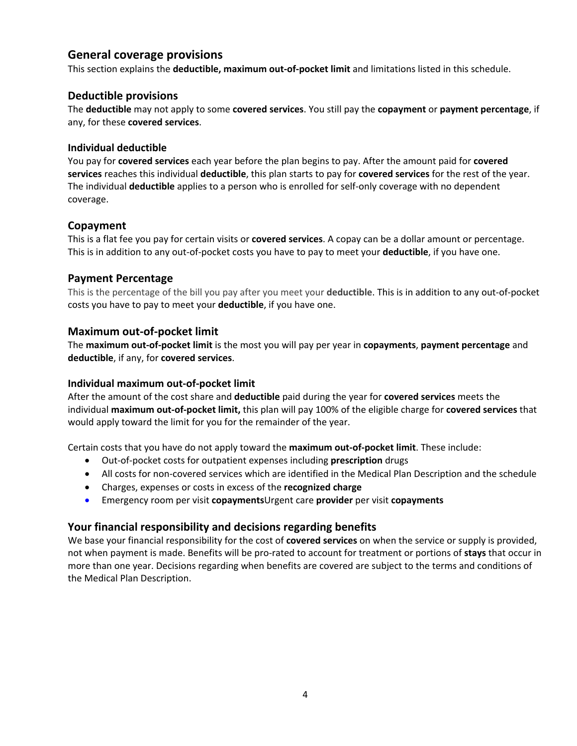## **General coverage provisions**

This section explains the **deductible, maximum out-of-pocket limit** and limitations listed in this schedule.

#### **Deductible provisions**

The **deductible** may not apply to some **covered services**. You still pay the **copayment** or **payment percentage**, if any, for these **covered services**.

#### **Individual deductible**

You pay for **covered services** each year before the plan begins to pay. After the amount paid for **covered services** reaches this individual **deductible**, this plan starts to pay for **covered services** for the rest of the year. The individual **deductible** applies to a person who is enrolled for self-only coverage with no dependent coverage.

## **Copayment**

This is a flat fee you pay for certain visits or **covered services**. A copay can be a dollar amount or percentage. This is in addition to any out-of-pocket costs you have to pay to meet your **deductible**, if you have one.

#### **Payment Percentage**

This is the percentage of the bill you pay after you meet your **deductible**. This is in addition to any out-of-pocket costs you have to pay to meet your **deductible**, if you have one.

#### **Maximum out-of-pocket limit**

The **maximum out-of-pocket limit** is the most you will pay per year in **copayments**, **payment percentage** and **deductible**, if any, for **covered services**.

#### **Individual maximum out-of-pocket limit**

After the amount of the cost share and **deductible** paid during the year for **covered services** meets the individual **maximum out-of-pocket limit,** this plan will pay 100% of the eligible charge for **covered services** that would apply toward the limit for you for the remainder of the year.

Certain costs that you have do not apply toward the **maximum out-of-pocket limit**. These include:

- Out-of-pocket costs for outpatient expenses including **prescription** drugs
- All costs for non-covered services which are identified in the Medical Plan Description and the schedule
- Charges, expenses or costs in excess of the **recognized charge**
- Emergency room per visit **copayments**Urgent care **provider** per visit **copayments**

#### **Your financial responsibility and decisions regarding benefits**

We base your financial responsibility for the cost of **covered services** on when the service or supply is provided, not when payment is made. Benefits will be pro-rated to account for treatment or portions of **stays** that occur in more than one year. Decisions regarding when benefits are covered are subject to the terms and conditions of the Medical Plan Description.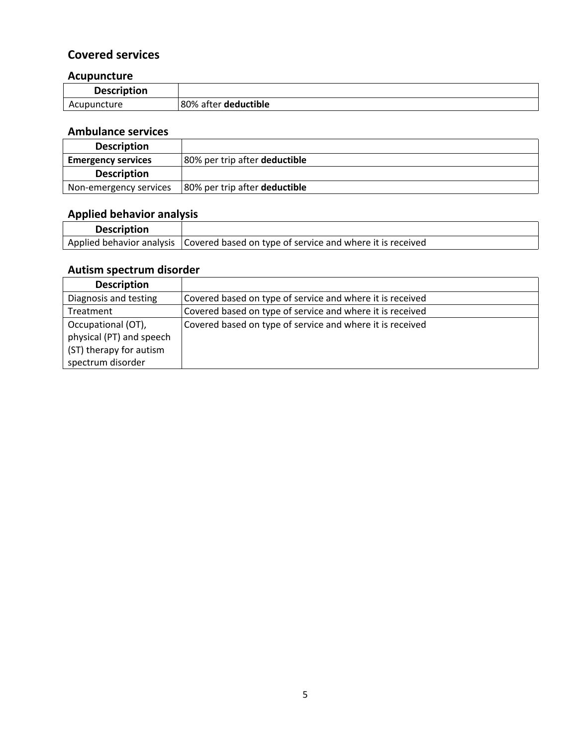## **Covered services**

## **Acupuncture**

| -<br><b>Description</b> |                      |
|-------------------------|----------------------|
| Acupuncture             | 80% after deductible |

## **Ambulance services**

| <b>Description</b>        |                               |
|---------------------------|-------------------------------|
| <b>Emergency services</b> | 80% per trip after deductible |
| <b>Description</b>        |                               |
| Non-emergency services    | 80% per trip after deductible |

# **Applied behavior analysis**

| <b>Description</b> |                                                                                       |
|--------------------|---------------------------------------------------------------------------------------|
|                    | Applied behavior analysis   Covered based on type of service and where it is received |

## **Autism spectrum disorder**

| <b>Description</b>       |                                                           |
|--------------------------|-----------------------------------------------------------|
| Diagnosis and testing    | Covered based on type of service and where it is received |
| Treatment                | Covered based on type of service and where it is received |
| Occupational (OT),       | Covered based on type of service and where it is received |
| physical (PT) and speech |                                                           |
| (ST) therapy for autism  |                                                           |
| spectrum disorder        |                                                           |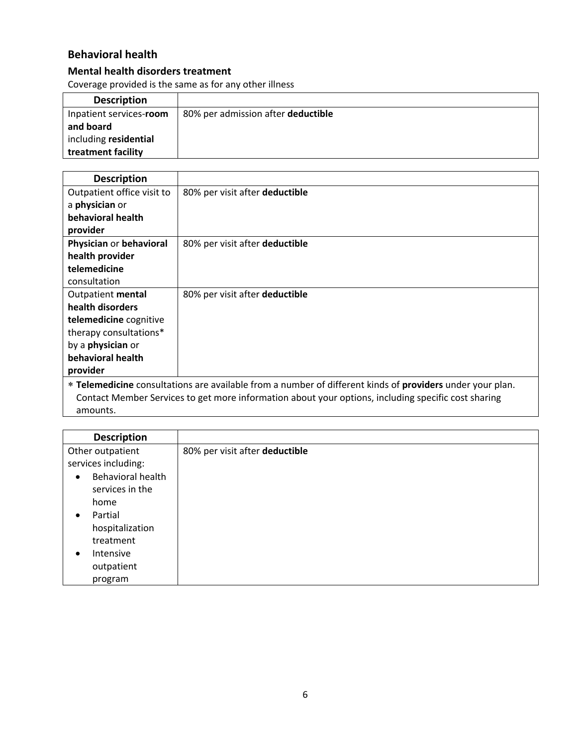## **Behavioral health**

## **Mental health disorders treatment**

Coverage provided is the same as for any other illness

| <b>Description</b>      |                                    |
|-------------------------|------------------------------------|
| Inpatient services-room | 80% per admission after deductible |
| and board               |                                    |
| including residential   |                                    |
| treatment facility      |                                    |

| <b>Description</b>                                                                                               |                                                                                                     |
|------------------------------------------------------------------------------------------------------------------|-----------------------------------------------------------------------------------------------------|
| Outpatient office visit to                                                                                       | 80% per visit after deductible                                                                      |
| a physician or                                                                                                   |                                                                                                     |
| behavioral health                                                                                                |                                                                                                     |
| provider                                                                                                         |                                                                                                     |
| Physician or behavioral                                                                                          | 80% per visit after deductible                                                                      |
| health provider                                                                                                  |                                                                                                     |
| telemedicine                                                                                                     |                                                                                                     |
| consultation                                                                                                     |                                                                                                     |
| Outpatient mental                                                                                                | 80% per visit after deductible                                                                      |
| health disorders                                                                                                 |                                                                                                     |
| telemedicine cognitive                                                                                           |                                                                                                     |
| therapy consultations*                                                                                           |                                                                                                     |
| by a <b>physician</b> or                                                                                         |                                                                                                     |
| behavioral health                                                                                                |                                                                                                     |
| provider                                                                                                         |                                                                                                     |
| * Telemedicine consultations are available from a number of different kinds of <b>providers</b> under your plan. |                                                                                                     |
|                                                                                                                  | Contact Member Services to get more information about your options, including specific cost sharing |
| amounts.                                                                                                         |                                                                                                     |

| <b>Description</b>             |                                |
|--------------------------------|--------------------------------|
| Other outpatient               | 80% per visit after deductible |
| services including:            |                                |
| Behavioral health<br>$\bullet$ |                                |
| services in the                |                                |
| home                           |                                |
| Partial<br>$\bullet$           |                                |
| hospitalization                |                                |
| treatment                      |                                |
| Intensive<br>$\bullet$         |                                |
| outpatient                     |                                |
| program                        |                                |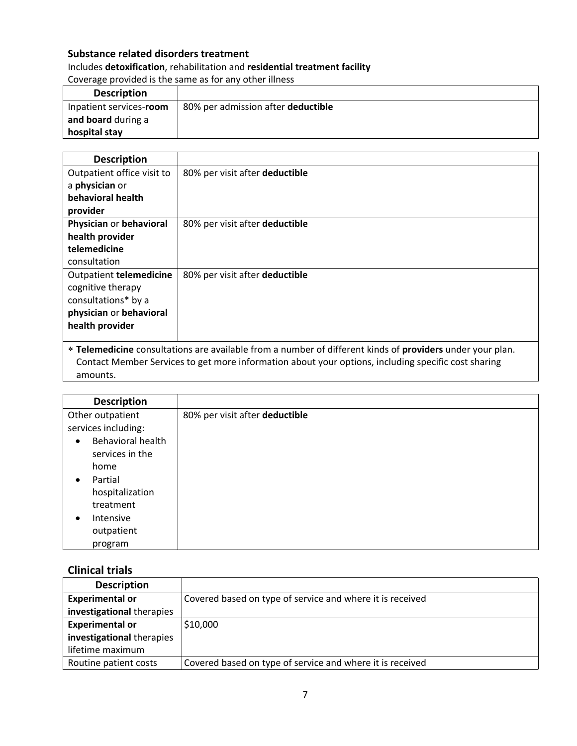## **Substance related disorders treatment**

#### Includes **detoxification**, rehabilitation and **residential treatment facility**

Coverage provided is the same as for any other illness

| <b>Description</b>      |                                    |
|-------------------------|------------------------------------|
| Inpatient services-room | 80% per admission after deductible |
| and board during a      |                                    |
| hospital stay           |                                    |

| <b>Description</b>         |                                                                                                             |
|----------------------------|-------------------------------------------------------------------------------------------------------------|
| Outpatient office visit to | 80% per visit after deductible                                                                              |
| a physician or             |                                                                                                             |
| behavioral health          |                                                                                                             |
| provider                   |                                                                                                             |
| Physician or behavioral    | 80% per visit after deductible                                                                              |
| health provider            |                                                                                                             |
| telemedicine               |                                                                                                             |
| consultation               |                                                                                                             |
| Outpatient telemedicine    | 80% per visit after deductible                                                                              |
| cognitive therapy          |                                                                                                             |
| consultations* by a        |                                                                                                             |
| physician or behavioral    |                                                                                                             |
| health provider            |                                                                                                             |
|                            |                                                                                                             |
|                            | a ≢albada Data da da haitada da da dhilla foda da dalbada fi Dffoda ni Ltalo of dagatilga da da da da da la |

 **Telemedicine** consultations are available from a number of different kinds of **providers** under your plan. Contact Member Services to get more information about your options, including specific cost sharing amounts.

| <b>Description</b>             |                                |
|--------------------------------|--------------------------------|
| Other outpatient               | 80% per visit after deductible |
| services including:            |                                |
| Behavioral health<br>$\bullet$ |                                |
| services in the                |                                |
| home                           |                                |
| Partial<br>$\bullet$           |                                |
| hospitalization                |                                |
| treatment                      |                                |
| Intensive<br>$\bullet$         |                                |
| outpatient                     |                                |
| program                        |                                |

### **Clinical trials**

| <b>Description</b>        |                                                           |
|---------------------------|-----------------------------------------------------------|
| <b>Experimental or</b>    | Covered based on type of service and where it is received |
| investigational therapies |                                                           |
| <b>Experimental or</b>    | \$10,000                                                  |
| investigational therapies |                                                           |
| lifetime maximum          |                                                           |
| Routine patient costs     | Covered based on type of service and where it is received |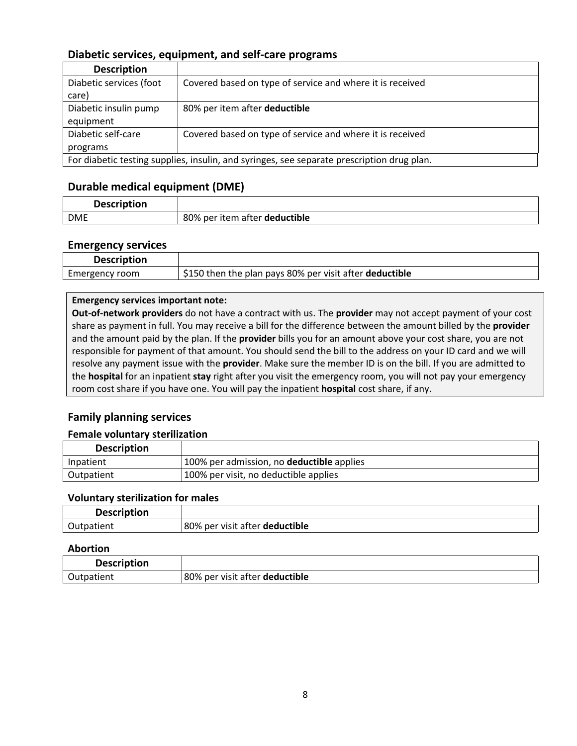## **Diabetic services, equipment, and self-care programs**

| <b>Description</b>                                                                         |                                                           |
|--------------------------------------------------------------------------------------------|-----------------------------------------------------------|
| Diabetic services (foot                                                                    | Covered based on type of service and where it is received |
| care)                                                                                      |                                                           |
| Diabetic insulin pump                                                                      | 80% per item after deductible                             |
| equipment                                                                                  |                                                           |
| Diabetic self-care                                                                         | Covered based on type of service and where it is received |
| programs                                                                                   |                                                           |
| For diabetic testing supplies, insulin, and syringes, see separate prescription drug plan. |                                                           |

## **Durable medical equipment (DME)**

| <b>Description</b> |                               |
|--------------------|-------------------------------|
| <b>DME</b>         | 80% per item after deductible |

## **Emergency services**

| <b>Description</b> |                                                               |
|--------------------|---------------------------------------------------------------|
| Emergency room     | S150 then the plan pays 80% per visit after <b>deductible</b> |

#### **Emergency services important note:**

**Out-of-network providers** do not have a contract with us. The **provider** may not accept payment of your cost share as payment in full. You may receive a bill for the difference between the amount billed by the **provider**  and the amount paid by the plan. If the **provider** bills you for an amount above your cost share, you are not responsible for payment of that amount. You should send the bill to the address on your ID card and we will resolve any payment issue with the **provider**. Make sure the member ID is on the bill. If you are admitted to the **hospital** for an inpatient **stay** right after you visit the emergency room, you will not pay your emergency room cost share if you have one. You will pay the inpatient **hospital** cost share, if any.

## **Family planning services**

#### **Female voluntary sterilization**

| <b>Description</b> |                                                  |
|--------------------|--------------------------------------------------|
| Inpatient          | 100% per admission, no <b>deductible</b> applies |
| Outpatient         | 100% per visit, no deductible applies            |

#### **Voluntary sterilization for males**

| <b>Description</b> |                                       |
|--------------------|---------------------------------------|
| Jutpatient         | 80% per visit after <b>deductible</b> |

#### **Abortion**

| <b>Description</b> |                                   |
|--------------------|-----------------------------------|
| tient              | visit after deductible<br>80% per |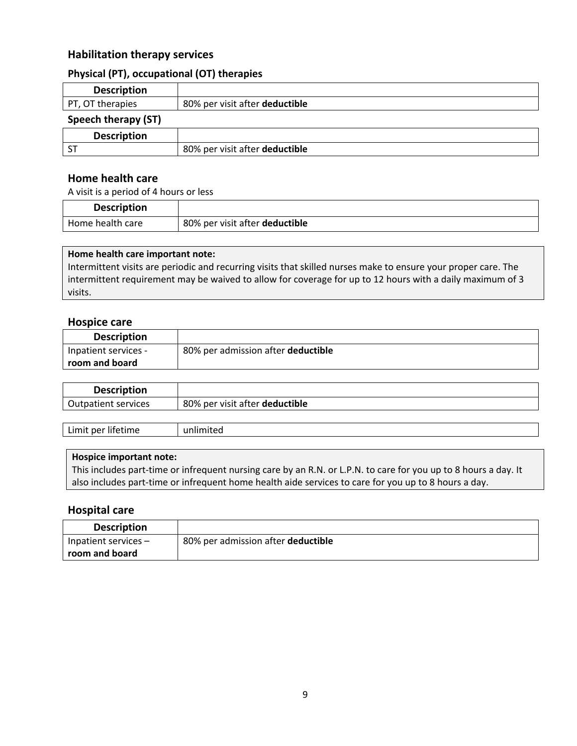### **Habilitation therapy services**

#### **Physical (PT), occupational (OT) therapies**

| <b>Description</b>  |                                |
|---------------------|--------------------------------|
| PT, OT therapies    | 80% per visit after deductible |
| Speech therapy (ST) |                                |
| <b>Description</b>  |                                |
|                     | 80% per visit after deductible |

#### **Home health care**

A visit is a period of 4 hours or less

| <b>Description</b> |                                |
|--------------------|--------------------------------|
| Home health care   | 80% per visit after deductible |

#### **Home health care important note:**

Intermittent visits are periodic and recurring visits that skilled nurses make to ensure your proper care. The intermittent requirement may be waived to allow for coverage for up to 12 hours with a daily maximum of 3 visits.

#### **Hospice care**

| <b>Description</b>   |                                    |
|----------------------|------------------------------------|
| Inpatient services - | 80% per admission after deductible |
| room and board       |                                    |

| <b>Description</b>  |                                |
|---------------------|--------------------------------|
| Outpatient services | 80% per visit after deductible |

| .<br>nF<br>- |  |
|--------------|--|
|              |  |

#### **Hospice important note:**

This includes part-time or infrequent nursing care by an R.N. or L.P.N. to care for you up to 8 hours a day. It also includes part-time or infrequent home health aide services to care for you up to 8 hours a day.

## **Hospital care**

| <b>Description</b>   |                                           |
|----------------------|-------------------------------------------|
| Inpatient services – | 80% per admission after <b>deductible</b> |
| room and board       |                                           |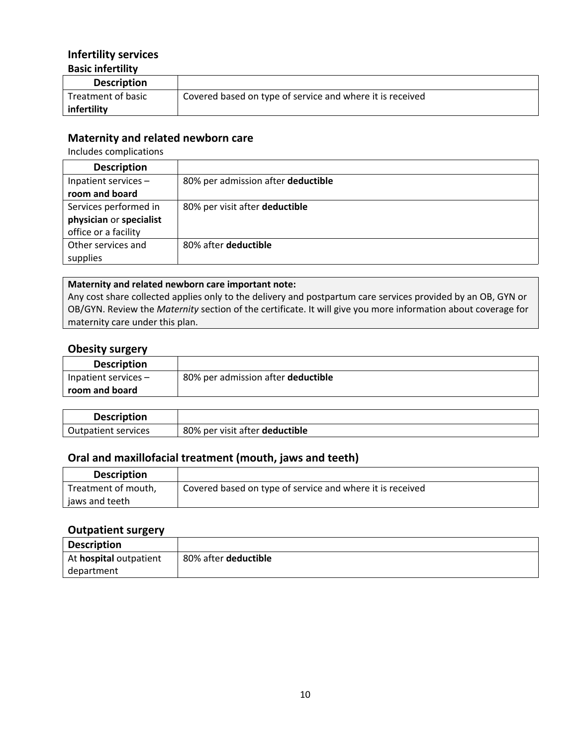## **Infertility services Basic infertility**

| _ _ _ _ _ _ _ _ _ _ _ _ _ _ _ _ |                                                           |
|---------------------------------|-----------------------------------------------------------|
| <b>Description</b>              |                                                           |
| Treatment of basic              | Covered based on type of service and where it is received |
| infertility                     |                                                           |

## **Maternity and related newborn care**

Includes complications

| <b>Description</b>      |                                    |
|-------------------------|------------------------------------|
| Inpatient services -    | 80% per admission after deductible |
| room and board          |                                    |
| Services performed in   | 80% per visit after deductible     |
| physician or specialist |                                    |
| office or a facility    |                                    |
| Other services and      | 80% after deductible               |
| supplies                |                                    |

#### **Maternity and related newborn care important note:**

Any cost share collected applies only to the delivery and postpartum care services provided by an OB, GYN or OB/GYN. Review the *Maternity* section of the certificate. It will give you more information about coverage for maternity care under this plan.

#### **Obesity surgery**

| <b>Description</b>     |                                    |
|------------------------|------------------------------------|
| Inpatient services $-$ | 80% per admission after deductible |
| room and board         |                                    |

| <b>Description</b>     |                                |
|------------------------|--------------------------------|
| Outpatient<br>services | 80% per visit after deductible |

## **Oral and maxillofacial treatment (mouth, jaws and teeth)**

| <b>Description</b>  |                                                           |
|---------------------|-----------------------------------------------------------|
| Treatment of mouth, | Covered based on type of service and where it is received |
| iaws and teeth      |                                                           |

## **Outpatient surgery**

| <b>Description</b>            |                             |
|-------------------------------|-----------------------------|
| At <b>hospital</b> outpatient | 80% after <b>deductible</b> |
| department                    |                             |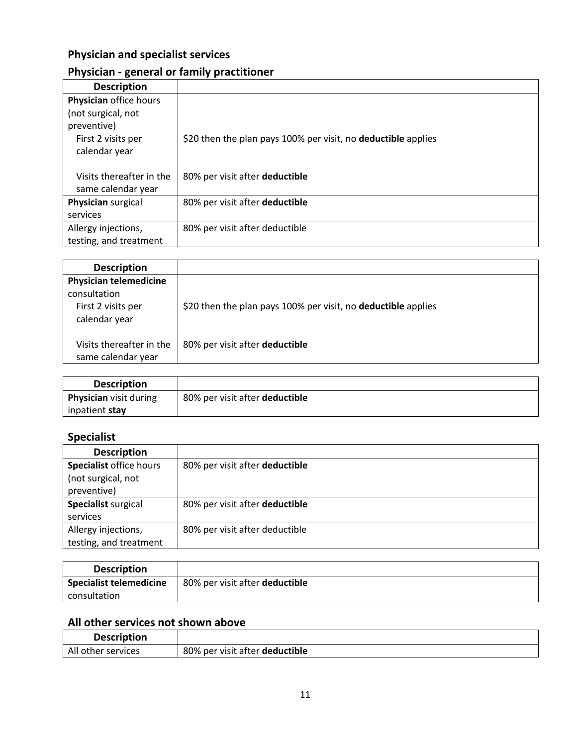## **Physician and specialist services**

## **Physician - general or family practitioner**

| <b>Description</b>                  |                                                               |
|-------------------------------------|---------------------------------------------------------------|
| Physician office hours              |                                                               |
| (not surgical, not                  |                                                               |
| preventive)                         |                                                               |
| First 2 visits per<br>calendar year | \$20 then the plan pays 100% per visit, no deductible applies |
|                                     |                                                               |
| Visits thereafter in the            | 80% per visit after deductible                                |
| same calendar year                  |                                                               |
| Physician surgical                  | 80% per visit after deductible                                |
| services                            |                                                               |
| Allergy injections,                 | 80% per visit after deductible                                |
| testing, and treatment              |                                                               |

| <b>Description</b>                             |                                                               |
|------------------------------------------------|---------------------------------------------------------------|
| <b>Physician telemedicine</b><br>consultation  |                                                               |
| First 2 visits per<br>calendar year            | \$20 then the plan pays 100% per visit, no deductible applies |
| Visits thereafter in the<br>same calendar year | 80% per visit after deductible                                |

| <b>Description</b>            |                                |
|-------------------------------|--------------------------------|
| <b>Physician</b> visit during | 80% per visit after deductible |
| inpatient <b>stay</b>         |                                |

## **Specialist**

| <b>Description</b>      |                                |
|-------------------------|--------------------------------|
| Specialist office hours | 80% per visit after deductible |
| (not surgical, not      |                                |
| preventive)             |                                |
| Specialist surgical     | 80% per visit after deductible |
| services                |                                |
| Allergy injections,     | 80% per visit after deductible |
| testing, and treatment  |                                |

| <b>Description</b>             |                                |
|--------------------------------|--------------------------------|
| <b>Specialist telemedicine</b> | 80% per visit after deductible |
| consultation                   |                                |

## **All other services not shown above**

| <b>Description</b> |                                |
|--------------------|--------------------------------|
| All other services | 80% per visit after deductible |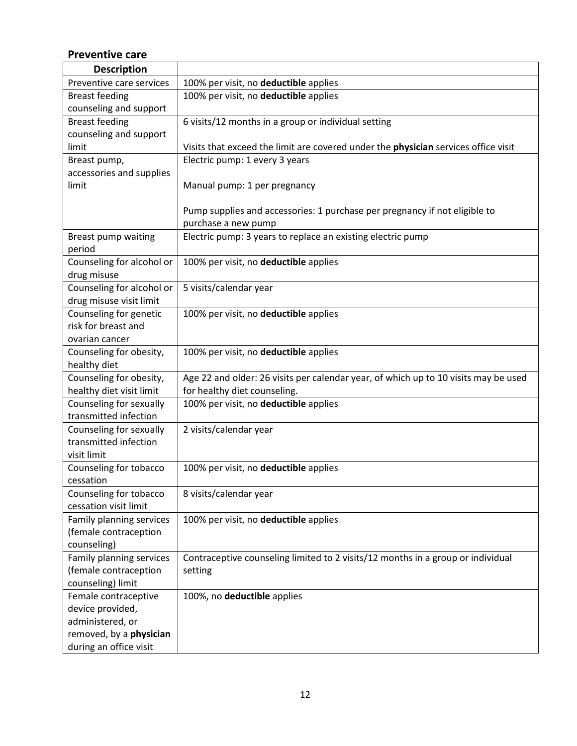## **Preventive care**

| <b>Description</b>                        |                                                                                     |
|-------------------------------------------|-------------------------------------------------------------------------------------|
| Preventive care services                  | 100% per visit, no deductible applies                                               |
| <b>Breast feeding</b>                     | 100% per visit, no deductible applies                                               |
| counseling and support                    |                                                                                     |
| <b>Breast feeding</b>                     | 6 visits/12 months in a group or individual setting                                 |
| counseling and support                    |                                                                                     |
| limit                                     | Visits that exceed the limit are covered under the physician services office visit  |
| Breast pump,                              | Electric pump: 1 every 3 years                                                      |
| accessories and supplies                  |                                                                                     |
| limit                                     | Manual pump: 1 per pregnancy                                                        |
|                                           |                                                                                     |
|                                           | Pump supplies and accessories: 1 purchase per pregnancy if not eligible to          |
|                                           | purchase a new pump                                                                 |
| Breast pump waiting                       | Electric pump: 3 years to replace an existing electric pump                         |
| period                                    |                                                                                     |
| Counseling for alcohol or                 | 100% per visit, no deductible applies                                               |
| drug misuse                               |                                                                                     |
| Counseling for alcohol or                 | 5 visits/calendar year                                                              |
| drug misuse visit limit                   |                                                                                     |
| Counseling for genetic                    | 100% per visit, no deductible applies                                               |
| risk for breast and                       |                                                                                     |
| ovarian cancer                            |                                                                                     |
| Counseling for obesity,                   | 100% per visit, no deductible applies                                               |
| healthy diet                              |                                                                                     |
| Counseling for obesity,                   | Age 22 and older: 26 visits per calendar year, of which up to 10 visits may be used |
| healthy diet visit limit                  | for healthy diet counseling.                                                        |
| Counseling for sexually                   | 100% per visit, no deductible applies                                               |
| transmitted infection                     |                                                                                     |
| Counseling for sexually                   | 2 visits/calendar year                                                              |
| transmitted infection                     |                                                                                     |
| visit limit                               |                                                                                     |
| Counseling for tobacco                    | 100% per visit, no deductible applies                                               |
| cessation                                 |                                                                                     |
| Counseling for tobacco                    | 8 visits/calendar year                                                              |
| cessation visit limit                     |                                                                                     |
| Family planning services                  | 100% per visit, no deductible applies                                               |
| (female contraception                     |                                                                                     |
| counseling)                               |                                                                                     |
| Family planning services                  | Contraceptive counseling limited to 2 visits/12 months in a group or individual     |
| (female contraception                     | setting                                                                             |
| counseling) limit<br>Female contraceptive |                                                                                     |
| device provided,                          | 100%, no deductible applies                                                         |
| administered, or                          |                                                                                     |
| removed, by a physician                   |                                                                                     |
|                                           |                                                                                     |
| during an office visit                    |                                                                                     |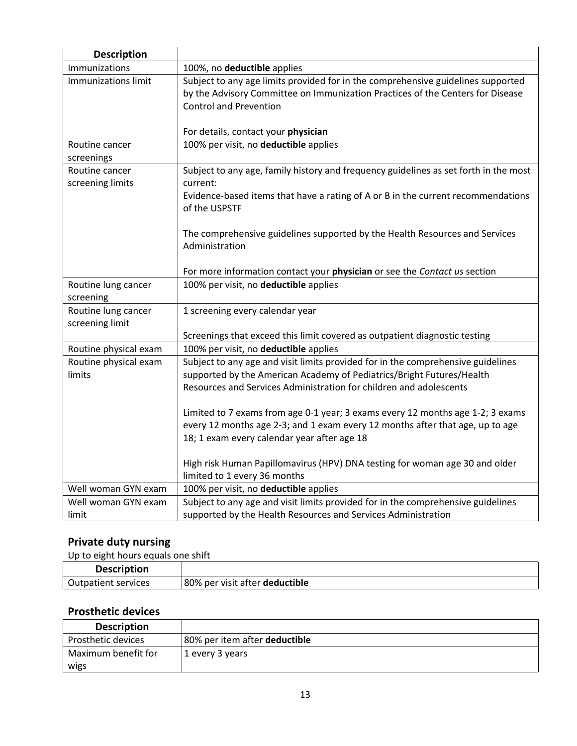| <b>Description</b>    |                                                                                      |
|-----------------------|--------------------------------------------------------------------------------------|
| Immunizations         | 100%, no deductible applies                                                          |
| Immunizations limit   | Subject to any age limits provided for in the comprehensive guidelines supported     |
|                       | by the Advisory Committee on Immunization Practices of the Centers for Disease       |
|                       | <b>Control and Prevention</b>                                                        |
|                       |                                                                                      |
|                       | For details, contact your physician                                                  |
| Routine cancer        | 100% per visit, no deductible applies                                                |
| screenings            |                                                                                      |
| Routine cancer        | Subject to any age, family history and frequency guidelines as set forth in the most |
| screening limits      | current:                                                                             |
|                       | Evidence-based items that have a rating of A or B in the current recommendations     |
|                       | of the USPSTF                                                                        |
|                       | The comprehensive guidelines supported by the Health Resources and Services          |
|                       | Administration                                                                       |
|                       |                                                                                      |
|                       | For more information contact your physician or see the Contact us section            |
| Routine lung cancer   | 100% per visit, no deductible applies                                                |
| screening             |                                                                                      |
| Routine lung cancer   | 1 screening every calendar year                                                      |
| screening limit       |                                                                                      |
|                       | Screenings that exceed this limit covered as outpatient diagnostic testing           |
| Routine physical exam | 100% per visit, no deductible applies                                                |
| Routine physical exam | Subject to any age and visit limits provided for in the comprehensive guidelines     |
| limits                | supported by the American Academy of Pediatrics/Bright Futures/Health                |
|                       | Resources and Services Administration for children and adolescents                   |
|                       | Limited to 7 exams from age 0-1 year; 3 exams every 12 months age 1-2; 3 exams       |
|                       | every 12 months age 2-3; and 1 exam every 12 months after that age, up to age        |
|                       | 18; 1 exam every calendar year after age 18                                          |
|                       |                                                                                      |
|                       | High risk Human Papillomavirus (HPV) DNA testing for woman age 30 and older          |
|                       | limited to 1 every 36 months                                                         |
| Well woman GYN exam   | 100% per visit, no deductible applies                                                |
| Well woman GYN exam   | Subject to any age and visit limits provided for in the comprehensive guidelines     |
| limit                 | supported by the Health Resources and Services Administration                        |

## **Private duty nursing**

Up to eight hours equals one shift

| $P_{\nu}$ , $P_{\nu}$ , $P_{\nu}$ , $P_{\nu}$ , $P_{\nu}$ , $P_{\nu}$ , $P_{\nu}$ , $P_{\nu}$ , $P_{\nu}$ , $P_{\nu}$ , $P_{\nu}$ , $P_{\nu}$ , $P_{\nu}$ , $P_{\nu}$ , $P_{\nu}$ , $P_{\nu}$ , $P_{\nu}$ , $P_{\nu}$ , $P_{\nu}$ , $P_{\nu}$ , $P_{\nu}$ , $P_{\nu}$ , |                                |
|-------------------------------------------------------------------------------------------------------------------------------------------------------------------------------------------------------------------------------------------------------------------------|--------------------------------|
| <b>Description</b>                                                                                                                                                                                                                                                      |                                |
| <b>Outpatient services</b>                                                                                                                                                                                                                                              | 80% per visit after deductible |

## **Prosthetic devices**

| <b>Description</b>  |                               |
|---------------------|-------------------------------|
| Prosthetic devices  | 80% per item after deductible |
| Maximum benefit for | 1 every 3 years               |
| wigs                |                               |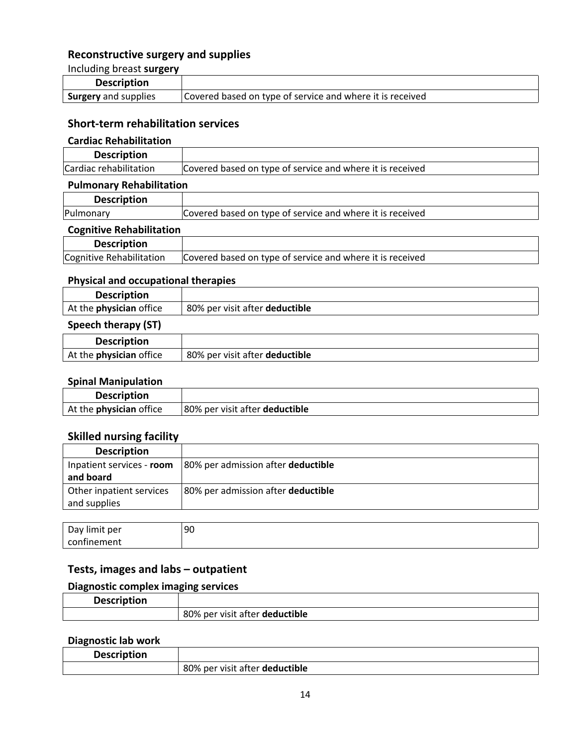## **Reconstructive surgery and supplies**

#### Including breast **surgery**

| <b>Description</b>          |                                                           |
|-----------------------------|-----------------------------------------------------------|
| <b>Surgery</b> and supplies | Covered based on type of service and where it is received |

## **Short-term rehabilitation services**

#### **Cardiac Rehabilitation**

| <b>Description</b>     |                                                           |
|------------------------|-----------------------------------------------------------|
| Cardiac rehabilitation | Covered based on type of service and where it is received |

#### **Pulmonary Rehabilitation**

| <b>Description</b> |                                                           |
|--------------------|-----------------------------------------------------------|
| Pulmonary          | Covered based on type of service and where it is received |
| .                  |                                                           |

#### **Cognitive Rehabilitation**

| <b>Description</b>       |                                                           |
|--------------------------|-----------------------------------------------------------|
| Cognitive Rehabilitation | Covered based on type of service and where it is received |

## **Physical and occupational therapies**

| <b>Description</b>                          |                                |
|---------------------------------------------|--------------------------------|
| <sup>1</sup> At the <b>physician</b> office | 80% per visit after deductible |
| Speech therapy (ST)                         |                                |
| <b>Description</b>                          |                                |

| At the <b>physician</b> office | 80% per visit after deductible |
|--------------------------------|--------------------------------|
|                                |                                |

### **Spinal Manipulation**

| Description                    |                                |
|--------------------------------|--------------------------------|
| At the <b>physician</b> office | 80% per visit after deductible |

## **Skilled nursing facility**

| <b>Description</b>        |                                           |
|---------------------------|-------------------------------------------|
| Inpatient services - room | 80% per admission after deductible        |
| and board                 |                                           |
| Other inpatient services  | 80% per admission after <b>deductible</b> |
| and supplies              |                                           |
|                           |                                           |

| $D_{21}$<br><br>per<br>$\cdots$<br>umit<br>∟udv | 90 |
|-------------------------------------------------|----|
| າement<br>$\sim$<br>๛                           |    |

## **Tests, images and labs – outpatient**

## **Diagnostic complex imaging services**

| <b>Decepintion</b><br>ווטו |                                            |
|----------------------------|--------------------------------------------|
|                            | r visit after <b>deductible</b><br>80% per |

## **Diagnostic lab work**

| -<br><b>Joscrintion</b><br>.IUII |                                   |
|----------------------------------|-----------------------------------|
|                                  | after deductible<br>80% per visit |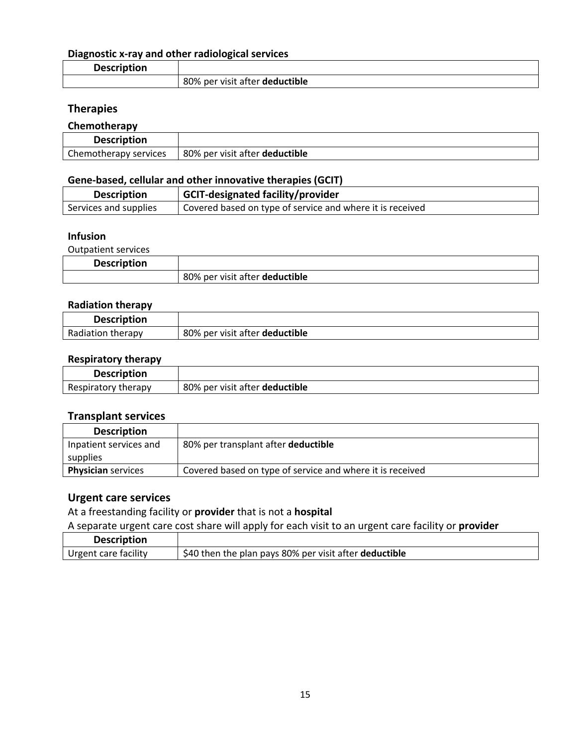## **Diagnostic x-ray and other radiological services**

| <b>Description</b> |                                |
|--------------------|--------------------------------|
|                    | 80% per visit after deductible |

## **Therapies**

## **Chemotherapy**

| <b>Description</b>    |                                       |
|-----------------------|---------------------------------------|
| Chemotherapy services | 80% per visit after <b>deductible</b> |

## **Gene-based, cellular and other innovative therapies (GCIT)**

| <b>Description</b>    | GCIT-designated facility/provider                         |
|-----------------------|-----------------------------------------------------------|
| Services and supplies | Covered based on type of service and where it is received |

#### **Infusion**

Outpatient services

| <b>Descrip</b><br><b>Siehe</b> |                                                        |
|--------------------------------|--------------------------------------------------------|
|                                | <b>luctible</b><br>80% per<br>visit after i<br>. deduc |

### **Radiation therapy**

| <b>Description</b> |                                       |
|--------------------|---------------------------------------|
| Radiation therapy  | 80% per visit after <b>deductible</b> |

## **Respiratory therapy**

| <b>Description</b>  |                                |
|---------------------|--------------------------------|
| Respiratory therapy | 80% per visit after deductible |

## **Transplant services**

| <b>Description</b>        |                                                           |
|---------------------------|-----------------------------------------------------------|
| Inpatient services and    | 80% per transplant after deductible                       |
| supplies                  |                                                           |
| <b>Physician</b> services | Covered based on type of service and where it is received |

### **Urgent care services**

At a freestanding facility or **provider** that is not a **hospital**

A separate urgent care cost share will apply for each visit to an urgent care facility or **provider**

| <b>Description</b>   |                                                        |
|----------------------|--------------------------------------------------------|
| Urgent care facility | \$40 then the plan pays 80% per visit after deductible |